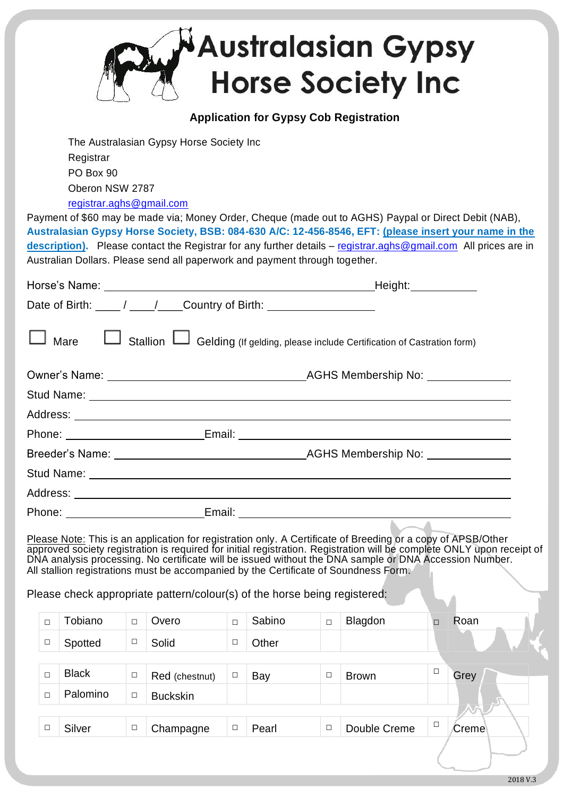|                                                                                                    |                                                                    |                                                                       |        |                                                                                                                                                                   |        |        |        | <b>Australasian Gypsy</b><br><b>Horse Society Inc</b>                                                         |        |                                                                                                                                                                                                                                   |
|----------------------------------------------------------------------------------------------------|--------------------------------------------------------------------|-----------------------------------------------------------------------|--------|-------------------------------------------------------------------------------------------------------------------------------------------------------------------|--------|--------|--------|---------------------------------------------------------------------------------------------------------------|--------|-----------------------------------------------------------------------------------------------------------------------------------------------------------------------------------------------------------------------------------|
|                                                                                                    | <b>Application for Gypsy Cob Registration</b>                      |                                                                       |        |                                                                                                                                                                   |        |        |        |                                                                                                               |        |                                                                                                                                                                                                                                   |
|                                                                                                    |                                                                    | Registrar<br>PO Box 90<br>Oberon NSW 2787<br>registrar.aghs@gmail.com |        | The Australasian Gypsy Horse Society Inc                                                                                                                          |        |        |        | Payment of \$60 may be made via; Money Order, Cheque (made out to AGHS) Paypal or Direct Debit (NAB),         |        |                                                                                                                                                                                                                                   |
|                                                                                                    |                                                                    |                                                                       |        | Australian Dollars. Please send all paperwork and payment through together.                                                                                       |        |        |        |                                                                                                               |        | Australasian Gypsy Horse Society, BSB: 084-630 A/C: 12-456-8546, EFT: (please insert your name in the<br>description). Please contact the Registrar for any further details - registrar.aghs@gmail.com All prices are in          |
|                                                                                                    |                                                                    |                                                                       |        |                                                                                                                                                                   |        |        |        |                                                                                                               |        |                                                                                                                                                                                                                                   |
|                                                                                                    | Date of Birth: ____/ ___/ ___Country of Birth: ___________________ |                                                                       |        |                                                                                                                                                                   |        |        |        |                                                                                                               |        |                                                                                                                                                                                                                                   |
| Mare <b>Let Stallion Let Gelding</b> (If gelding, please include Certification of Castration form) |                                                                    |                                                                       |        |                                                                                                                                                                   |        |        |        |                                                                                                               |        |                                                                                                                                                                                                                                   |
|                                                                                                    |                                                                    |                                                                       |        |                                                                                                                                                                   |        |        |        |                                                                                                               |        |                                                                                                                                                                                                                                   |
|                                                                                                    |                                                                    |                                                                       |        |                                                                                                                                                                   |        |        |        |                                                                                                               |        |                                                                                                                                                                                                                                   |
|                                                                                                    |                                                                    |                                                                       |        |                                                                                                                                                                   |        |        |        |                                                                                                               |        |                                                                                                                                                                                                                                   |
|                                                                                                    | Phone:<br>Email: _                                                 |                                                                       |        |                                                                                                                                                                   |        |        |        |                                                                                                               |        |                                                                                                                                                                                                                                   |
|                                                                                                    |                                                                    |                                                                       |        | Breeder's Name: __________________________________                                                                                                                |        |        |        | AGHS Membership No: Notal Contract to the Membership Notation and Membership Notation and Membership Notation |        |                                                                                                                                                                                                                                   |
|                                                                                                    |                                                                    |                                                                       |        |                                                                                                                                                                   |        |        |        |                                                                                                               |        |                                                                                                                                                                                                                                   |
|                                                                                                    |                                                                    |                                                                       |        |                                                                                                                                                                   |        |        |        |                                                                                                               |        |                                                                                                                                                                                                                                   |
|                                                                                                    |                                                                    |                                                                       |        |                                                                                                                                                                   |        |        |        | Phone: 2008 2018 2019 2019 2019 2019 2020 2021 2021 2022 2023 2024 2022 2023 2024 2022 2023 2024 2022 2023 20 |        |                                                                                                                                                                                                                                   |
|                                                                                                    |                                                                    |                                                                       |        | All stallion registrations must be accompanied by the Certificate of Soundness Form.<br>Please check appropriate pattern/colour(s) of the horse being registered: |        |        |        |                                                                                                               |        | Please Note: This is an application for registration only. A Certificate of Breeding or a copy of APSB/Other<br>approved society registration is required for initial registration. Registration will be complete ONLY upon recei |
|                                                                                                    | $\Box$                                                             | Tobiano                                                               | $\Box$ | Overo                                                                                                                                                             | $\Box$ | Sabino | $\Box$ | Blagdon                                                                                                       | $\Box$ | Roan                                                                                                                                                                                                                              |
|                                                                                                    | $\Box$                                                             | Spotted                                                               | $\Box$ | Solid                                                                                                                                                             | $\Box$ | Other  |        |                                                                                                               |        |                                                                                                                                                                                                                                   |
|                                                                                                    |                                                                    |                                                                       |        |                                                                                                                                                                   |        |        |        |                                                                                                               |        |                                                                                                                                                                                                                                   |
|                                                                                                    | П                                                                  | <b>Black</b>                                                          | $\Box$ | Red (chestnut)                                                                                                                                                    | $\Box$ | Bay    | $\Box$ | <b>Brown</b>                                                                                                  | □      | Grey                                                                                                                                                                                                                              |
|                                                                                                    | □                                                                  | Palomino                                                              | □      | <b>Buckskin</b>                                                                                                                                                   |        |        |        |                                                                                                               |        |                                                                                                                                                                                                                                   |
|                                                                                                    |                                                                    |                                                                       |        |                                                                                                                                                                   |        |        |        |                                                                                                               | □      |                                                                                                                                                                                                                                   |
|                                                                                                    | □                                                                  | Silver                                                                | $\Box$ | Champagne                                                                                                                                                         | $\Box$ | Pearl  | $\Box$ | Double Creme                                                                                                  |        | Creme                                                                                                                                                                                                                             |
|                                                                                                    |                                                                    |                                                                       |        |                                                                                                                                                                   |        |        |        |                                                                                                               |        |                                                                                                                                                                                                                                   |